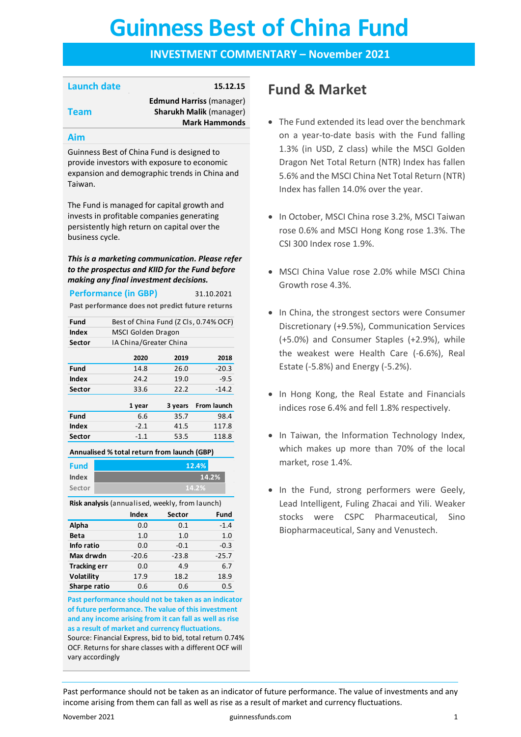# **Guinness Best of China Fund Guinness Best of China Fund**

### **INVESTMENT COMMENTARY – November 2021**

### **Launch date 15.12.15**

**Edmund Harriss** (manager) **Sharukh Malik** (manager) **Mark Hammonds**

#### **Aim**

**Team**

Guinness Best of China Fund is designed to provide investors with exposure to economic expansion and demographic trends in China and Taiwan.

The Fund is managed for capital growth and invests in profitable companies generating persistently high return on capital over the business cycle.

#### *This is a marketing communication. Please refer to the prospectus and KIID for the Fund before making any final investment decisions.*

|                                                  | <b>Performance (in GBP)</b><br>31.10.2021 |         |             |  |  |
|--------------------------------------------------|-------------------------------------------|---------|-------------|--|--|
| Past performance does not predict future returns |                                           |         |             |  |  |
| Fund                                             | Best of China Fund (Z Cls, 0.74% OCF)     |         |             |  |  |
| Index                                            | MSCI Golden Dragon                        |         |             |  |  |
| Sector                                           | IA China/Greater China                    |         |             |  |  |
|                                                  | 2020                                      | 2019    | 2018        |  |  |
| Fund                                             | 14.8                                      | 26.0    | $-20.3$     |  |  |
| Index                                            | 24.2                                      | 19.0    | $-9.5$      |  |  |
| Sector                                           | 33.6                                      | 22.2    | $-14.2$     |  |  |
|                                                  | 1 year                                    | 3 years | From launch |  |  |
| Fund                                             | 6.6                                       | 35.7    | 98.4        |  |  |
| Index                                            | $-2.1$                                    | 41.5    | 117.8       |  |  |
| Sector                                           | 118.8<br>53.5<br>$-1.1$                   |         |             |  |  |

**Annualised % total return from launch (GBP)**

| <b>Fund</b> | 12.4% |
|-------------|-------|
| Index       | 14.2% |
| Sector      | 14.2% |

**Risk analysis** (annualised, weekly, from launch)

|                     | <b>Index</b> | Sector  | Fund    |
|---------------------|--------------|---------|---------|
| Alpha               | 0.0          | 0.1     | $-1.4$  |
| <b>Beta</b>         | 1.0          | 1.0     | 1.0     |
| Info ratio          | 0.0          | $-0.1$  | $-0.3$  |
| Max drwdn           | $-20.6$      | $-23.8$ | $-25.7$ |
| <b>Tracking err</b> | 0.0          | 4.9     | 6.7     |
| Volatility          | 17.9         | 18.2    | 18.9    |
| Sharpe ratio        | 0.6          | 0.6     | 0.5     |

**Past performance should not be taken as an indicator of future performance. The value of this investment and any income arising from it can fall as well as rise as a result of market and currency fluctuations.**  Source: Financial Express, bid to bid, total return 0.74% OCF. Returns for share classes with a different OCF will vary accordingly

### **Fund & Market**

- The Fund extended its lead over the benchmark on a year-to-date basis with the Fund falling 1.3% (in USD, Z class) while the MSCI Golden Dragon Net Total Return (NTR) Index has fallen 5.6% and the MSCI China Net Total Return (NTR) Index has fallen 14.0% over the year.
- In October, MSCI China rose 3.2%, MSCI Taiwan rose 0.6% and MSCI Hong Kong rose 1.3%. The CSI 300 Index rose 1.9%.
- MSCI China Value rose 2.0% while MSCI China Growth rose 4.3%.
- In China, the strongest sectors were Consumer Discretionary (+9.5%), Communication Services (+5.0%) and Consumer Staples (+2.9%), while the weakest were Health Care (-6.6%), Real Estate (-5.8%) and Energy (-5.2%).
- In Hong Kong, the Real Estate and Financials indices rose 6.4% and fell 1.8% respectively.
- In Taiwan, the Information Technology Index, which makes up more than 70% of the local market, rose 1.4%.
- In the Fund, strong performers were Geely, Lead Intelligent, Fuling Zhacai and Yili. Weaker stocks were CSPC Pharmaceutical, Sino Biopharmaceutical, Sany and Venustech.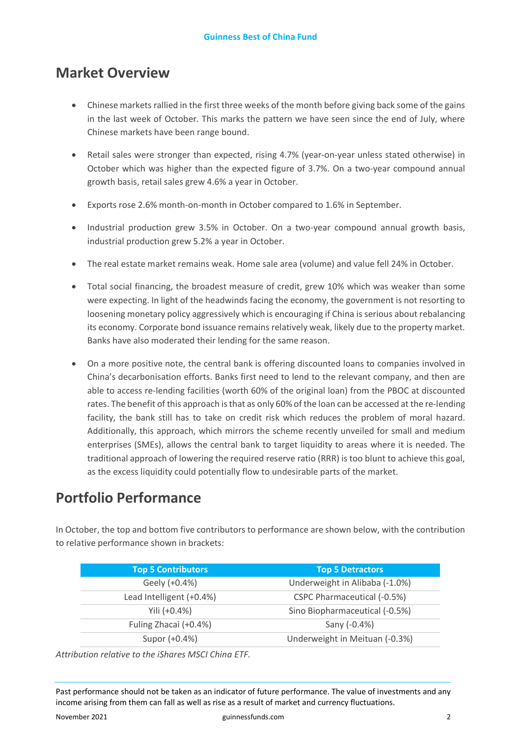### **Market Overview**

- Chinese markets rallied in the first three weeks of the month before giving back some of the gains in the last week of October. This marks the pattern we have seen since the end of July, where Chinese markets have been range bound.
- Retail sales were stronger than expected, rising 4.7% (year-on-year unless stated otherwise) in October which was higher than the expected figure of 3.7%. On a two-year compound annual growth basis, retail sales grew 4.6% a year in October.
- Exports rose 2.6% month-on-month in October compared to 1.6% in September.
- Industrial production grew 3.5% in October. On a two-year compound annual growth basis, industrial production grew 5.2% a year in October.
- The real estate market remains weak. Home sale area (volume) and value fell 24% in October.
- Total social financing, the broadest measure of credit, grew 10% which was weaker than some were expecting. In light of the headwinds facing the economy, the government is not resorting to loosening monetary policy aggressively which is encouraging if China is serious about rebalancing its economy. Corporate bond issuance remains relatively weak, likely due to the property market. Banks have also moderated their lending for the same reason.
- On a more positive note, the central bank is offering discounted loans to companies involved in China's decarbonisation efforts. Banks first need to lend to the relevant company, and then are able to access re-lending facilities (worth 60% of the original loan) from the PBOC at discounted rates. The benefit of this approach is that as only 60% of the loan can be accessed at the re-lending facility, the bank still has to take on credit risk which reduces the problem of moral hazard. Additionally, this approach, which mirrors the scheme recently unveiled for small and medium enterprises (SMEs), allows the central bank to target liquidity to areas where it is needed. The traditional approach of lowering the required reserve ratio (RRR) is too blunt to achieve this goal, as the excess liquidity could potentially flow to undesirable parts of the market.

## **Portfolio Performance**

In October, the top and bottom five contributors to performance are shown below, with the contribution to relative performance shown in brackets:

| <b>Top 5 Contributors</b> | <b>Top 5 Detractors</b>        |
|---------------------------|--------------------------------|
| Geely (+0.4%)             | Underweight in Alibaba (-1.0%) |
| Lead Intelligent (+0.4%)  | CSPC Pharmaceutical (-0.5%)    |
| Yili $(+0.4%)$            | Sino Biopharmaceutical (-0.5%) |
| Fuling Zhacai (+0.4%)     | Sany (-0.4%)                   |
| Supor (+0.4%)             | Underweight in Meituan (-0.3%) |

*Attribution relative to the iShares MSCI China ETF.*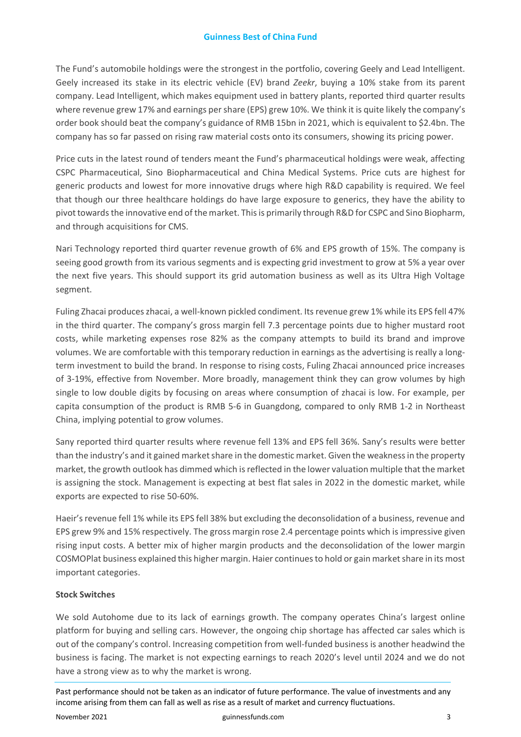The Fund's automobile holdings were the strongest in the portfolio, covering Geely and Lead Intelligent. Geely increased its stake in its electric vehicle (EV) brand *Zeekr*, buying a 10% stake from its parent company. Lead Intelligent, which makes equipment used in battery plants, reported third quarter results where revenue grew 17% and earnings per share (EPS) grew 10%. We think it is quite likely the company's order book should beat the company's guidance of RMB 15bn in 2021, which is equivalent to \$2.4bn. The company has so far passed on rising raw material costs onto its consumers, showing its pricing power.

Price cuts in the latest round of tenders meant the Fund's pharmaceutical holdings were weak, affecting CSPC Pharmaceutical, Sino Biopharmaceutical and China Medical Systems. Price cuts are highest for generic products and lowest for more innovative drugs where high R&D capability is required. We feel that though our three healthcare holdings do have large exposure to generics, they have the ability to pivot towards the innovative end of the market. This is primarily through R&D for CSPC and Sino Biopharm, and through acquisitions for CMS.

Nari Technology reported third quarter revenue growth of 6% and EPS growth of 15%. The company is seeing good growth from its various segments and is expecting grid investment to grow at 5% a year over the next five years. This should support its grid automation business as well as its Ultra High Voltage segment.

Fuling Zhacai produces zhacai, a well-known pickled condiment. Its revenue grew 1% while its EPS fell 47% in the third quarter. The company's gross margin fell 7.3 percentage points due to higher mustard root costs, while marketing expenses rose 82% as the company attempts to build its brand and improve volumes. We are comfortable with this temporary reduction in earnings as the advertising is really a longterm investment to build the brand. In response to rising costs, Fuling Zhacai announced price increases of 3-19%, effective from November. More broadly, management think they can grow volumes by high single to low double digits by focusing on areas where consumption of zhacai is low. For example, per capita consumption of the product is RMB 5-6 in Guangdong, compared to only RMB 1-2 in Northeast China, implying potential to grow volumes.

Sany reported third quarter results where revenue fell 13% and EPS fell 36%. Sany's results were better than the industry's and it gained market share in the domestic market. Given the weakness in the property market, the growth outlook has dimmed which is reflected in the lower valuation multiple that the market is assigning the stock. Management is expecting at best flat sales in 2022 in the domestic market, while exports are expected to rise 50-60%.

Haeir's revenue fell 1% while its EPS fell 38% but excluding the deconsolidation of a business, revenue and EPS grew 9% and 15% respectively. The gross margin rose 2.4 percentage points which is impressive given rising input costs. A better mix of higher margin products and the deconsolidation of the lower margin COSMOPlat business explained this higher margin. Haier continues to hold or gain market share in its most important categories.

### **Stock Switches**

We sold Autohome due to its lack of earnings growth. The company operates China's largest online platform for buying and selling cars. However, the ongoing chip shortage has affected car sales which is out of the company's control. Increasing competition from well-funded business is another headwind the business is facing. The market is not expecting earnings to reach 2020's level until 2024 and we do not have a strong view as to why the market is wrong.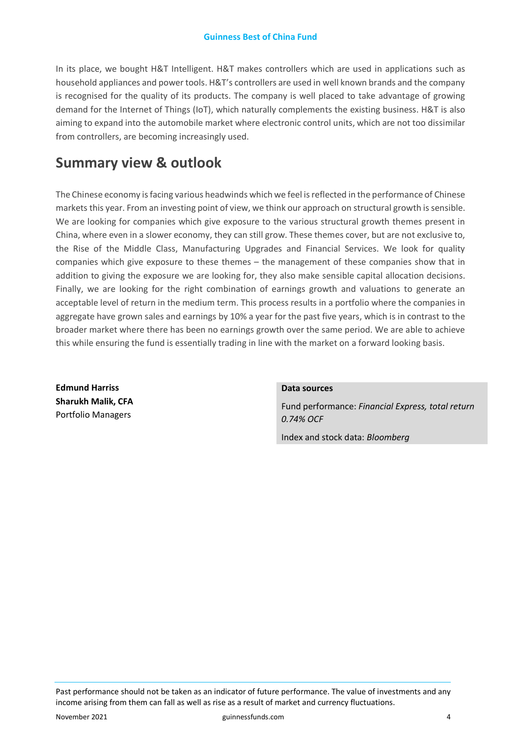In its place, we bought H&T Intelligent. H&T makes controllers which are used in applications such as household appliances and power tools. H&T's controllers are used in well known brands and the company is recognised for the quality of its products. The company is well placed to take advantage of growing demand for the Internet of Things (IoT), which naturally complements the existing business. H&T is also aiming to expand into the automobile market where electronic control units, which are not too dissimilar from controllers, are becoming increasingly used.

### **Summary view & outlook**

The Chinese economy is facing various headwinds which we feel is reflected in the performance of Chinese markets this year. From an investing point of view, we think our approach on structural growth is sensible. We are looking for companies which give exposure to the various structural growth themes present in China, where even in a slower economy, they can still grow. These themes cover, but are not exclusive to, the Rise of the Middle Class, Manufacturing Upgrades and Financial Services. We look for quality companies which give exposure to these themes – the management of these companies show that in addition to giving the exposure we are looking for, they also make sensible capital allocation decisions. Finally, we are looking for the right combination of earnings growth and valuations to generate an acceptable level of return in the medium term. This process results in a portfolio where the companies in aggregate have grown sales and earnings by 10% a year for the past five years, which is in contrast to the broader market where there has been no earnings growth over the same period. We are able to achieve this while ensuring the fund is essentially trading in line with the market on a forward looking basis.

**Edmund Harriss Sharukh Malik, CFA**  Portfolio Managers

#### **Data sources**

Fund performance: *Financial Express, total return 0.74% OCF*

Index and stock data: *Bloomberg*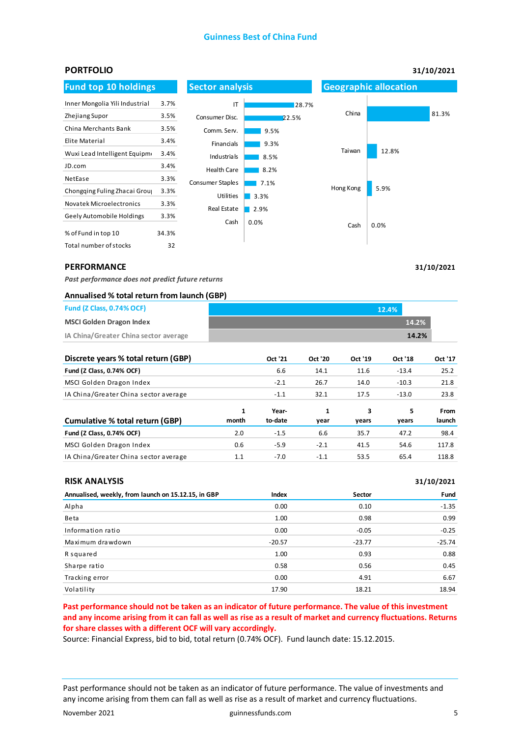#### **Guinness Best of China Fund**



#### **PERFORMANCE**

*Past performance does not predict future returns* 

#### **Annualised % total return from launch (GBP)**

| <b>Fund (Z Class, 0.74% OCF)</b>      | 12.4% |       |  |
|---------------------------------------|-------|-------|--|
| <b>MSCI Golden Dragon Index</b>       |       | 14.2% |  |
| IA China/Greater China sector average |       | 14.2% |  |

| Discrete years % total return (GBP)   |            | Oct '21          | <b>Oct '20</b> | Oct '19    | Oct '18    | Oct '17        |
|---------------------------------------|------------|------------------|----------------|------------|------------|----------------|
| Fund (Z Class, 0.74% OCF)             |            | 6.6              | 14.1           | 11.6       | $-13.4$    | 25.2           |
| MSCI Golden Dragon Index              |            | $-2.1$           | 26.7           | 14.0       | $-10.3$    | 21.8           |
| IA China/Greater China sector average |            | $-1.1$           | 32.1           | 17.5       | $-13.0$    | 23.8           |
| Cumulative % total return (GBP)       | 1<br>month | Year-<br>to-date | 1<br>year      | 3<br>years | 5<br>years | From<br>launch |
| Fund (Z Class, 0.74% OCF)             | 2.0        | $-1.5$           | 6.6            | 35.7       | 47.2       | 98.4           |
| MSCI Golden Dragon Index              | 0.6        | $-5.9$           | $-2.1$         | 41.5       | 54.6       | 117.8          |
| IA China/Greater China sector average | 1.1        | $-7.0$           | $-1.1$         | 53.5       | 65.4       | 118.8          |

| <b>RISK ANALYSIS</b>                                |          | 31/10/2021 |          |  |  |
|-----------------------------------------------------|----------|------------|----------|--|--|
| Annualised, weekly, from launch on 15.12.15, in GBP | Index    | Sector     | Fund     |  |  |
| Alpha                                               | 0.00     | 0.10       | $-1.35$  |  |  |
| <b>Beta</b>                                         | 1.00     | 0.98       | 0.99     |  |  |
| Information ratio                                   | 0.00     | $-0.05$    | $-0.25$  |  |  |
| Maximum drawdown                                    | $-20.57$ | $-23.77$   | $-25.74$ |  |  |
| R squared                                           | 1.00     | 0.93       | 0.88     |  |  |
| Sharpe ratio                                        | 0.58     | 0.56       | 0.45     |  |  |
| Tracking error                                      | 0.00     | 4.91       | 6.67     |  |  |
| Volatility                                          | 17.90    | 18.21      | 18.94    |  |  |

**Past performance should not be taken as an indicator of future performance. The value of this investment and any income arising from it can fall as well as rise as a result of market and currency fluctuations. Returns for share classes with a different OCF will vary accordingly.** 

Source: Financial Express, bid to bid, total return (0.74% OCF). Fund launch date: 15.12.2015.

Past performance should not be taken as an indicator of future performance. The value of investments and any income arising from them can fall as well as rise as a result of market and currency fluctuations.

**31/10/2021**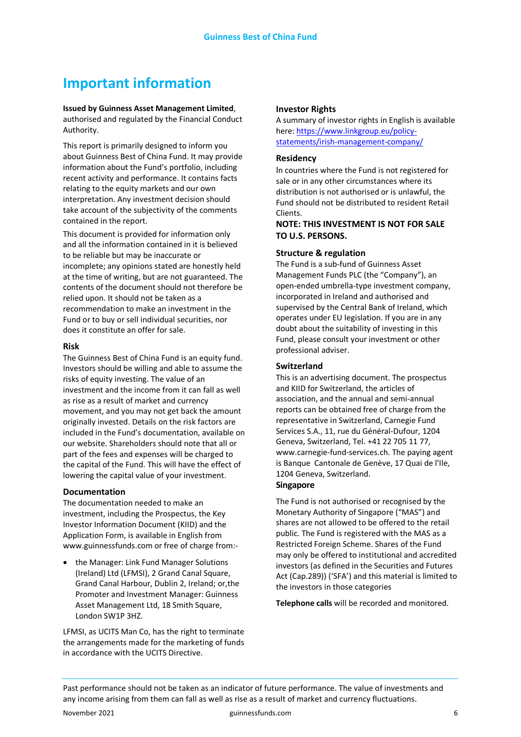## **Important information**

#### **Issued by Guinness Asset Management Limited**, authorised and regulated by the Financial Conduct Authority.

This report is primarily designed to inform you about Guinness Best of China Fund. It may provide information about the Fund's portfolio, including recent activity and performance. It contains facts relating to the equity markets and our own interpretation. Any investment decision should take account of the subjectivity of the comments contained in the report.

This document is provided for information only and all the information contained in it is believed to be reliable but may be inaccurate or incomplete; any opinions stated are honestly held at the time of writing, but are not guaranteed. The contents of the document should not therefore be relied upon. It should not be taken as a recommendation to make an investment in the Fund or to buy or sell individual securities, nor does it constitute an offer for sale.

#### **Risk**

The Guinness Best of China Fund is an equity fund. Investors should be willing and able to assume the risks of equity investing. The value of an investment and the income from it can fall as well as rise as a result of market and currency movement, and you may not get back the amount originally invested. Details on the risk factors are included in the Fund's documentation, available on our website. Shareholders should note that all or part of the fees and expenses will be charged to the capital of the Fund. This will have the effect of lowering the capital value of your investment.

#### **Documentation**

The documentation needed to make an investment, including the Prospectus, the Key Investor Information Document (KIID) and the Application Form, is available in English from www.guinnessfunds.com or free of charge from:-

• the Manager: Link Fund Manager Solutions (Ireland) Ltd (LFMSI), 2 Grand Canal Square, Grand Canal Harbour, Dublin 2, Ireland; or,the Promoter and Investment Manager: Guinness Asset Management Ltd, 18 Smith Square, London SW1P 3HZ.

LFMSI, as UCITS Man Co, has the right to terminate the arrangements made for the marketing of funds in accordance with the UCITS Directive.

#### **Investor Rights**

A summary of investor rights in English is available here: [https://www.linkgroup.eu/policy](https://www.linkgroup.eu/policy-statements/irish-management-company/)[statements/irish-management-company/](https://www.linkgroup.eu/policy-statements/irish-management-company/)

#### **Residency**

In countries where the Fund is not registered for sale or in any other circumstances where its distribution is not authorised or is unlawful, the Fund should not be distributed to resident Retail Clients.

#### **NOTE: THIS INVESTMENT IS NOT FOR SALE TO U.S. PERSONS.**

#### **Structure & regulation**

The Fund is a sub-fund of Guinness Asset Management Funds PLC (the "Company"), an open-ended umbrella-type investment company, incorporated in Ireland and authorised and supervised by the Central Bank of Ireland, which operates under EU legislation. If you are in any doubt about the suitability of investing in this Fund, please consult your investment or other professional adviser.

#### **Switzerland**

This is an advertising document. The prospectus and KIID for Switzerland, the articles of association, and the annual and semi-annual reports can be obtained free of charge from the representative in Switzerland, Carnegie Fund Services S.A., 11, rue du Général-Dufour, 1204 Geneva, Switzerland, Tel. +41 22 705 11 77, www.carnegie-fund-services.ch. The paying agent is Banque Cantonale de Genève, 17 Quai de l'Ile, 1204 Geneva, Switzerland.

#### **Singapore**

The Fund is not authorised or recognised by the Monetary Authority of Singapore ("MAS") and shares are not allowed to be offered to the retail public. The Fund is registered with the MAS as a Restricted Foreign Scheme. Shares of the Fund may only be offered to institutional and accredited investors (as defined in the Securities and Futures Act (Cap.289)) ('SFA') and this material is limited to the investors in those categories

**Telephone calls** will be recorded and monitored.